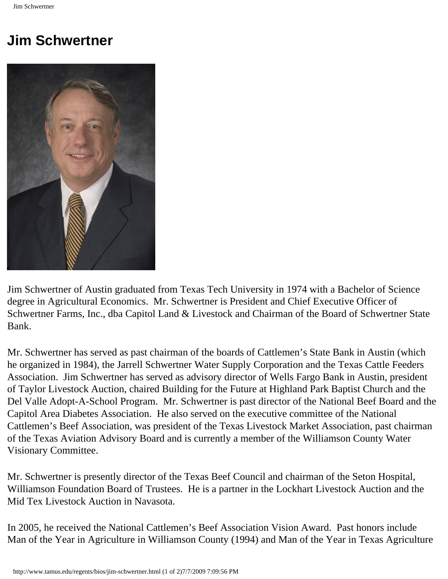## **Jim Schwertner**



Jim Schwertner of Austin graduated from Texas Tech University in 1974 with a Bachelor of Science degree in Agricultural Economics. Mr. Schwertner is President and Chief Executive Officer of Schwertner Farms, Inc., dba Capitol Land & Livestock and Chairman of the Board of Schwertner State Bank.

Mr. Schwertner has served as past chairman of the boards of Cattlemen's State Bank in Austin (which he organized in 1984), the Jarrell Schwertner Water Supply Corporation and the Texas Cattle Feeders Association. Jim Schwertner has served as advisory director of Wells Fargo Bank in Austin, president of Taylor Livestock Auction, chaired Building for the Future at Highland Park Baptist Church and the Del Valle Adopt-A-School Program. Mr. Schwertner is past director of the National Beef Board and the Capitol Area Diabetes Association. He also served on the executive committee of the National Cattlemen's Beef Association, was president of the Texas Livestock Market Association, past chairman of the Texas Aviation Advisory Board and is currently a member of the Williamson County Water Visionary Committee.

Mr. Schwertner is presently director of the Texas Beef Council and chairman of the Seton Hospital, Williamson Foundation Board of Trustees. He is a partner in the Lockhart Livestock Auction and the Mid Tex Livestock Auction in Navasota.

In 2005, he received the National Cattlemen's Beef Association Vision Award. Past honors include Man of the Year in Agriculture in Williamson County (1994) and Man of the Year in Texas Agriculture